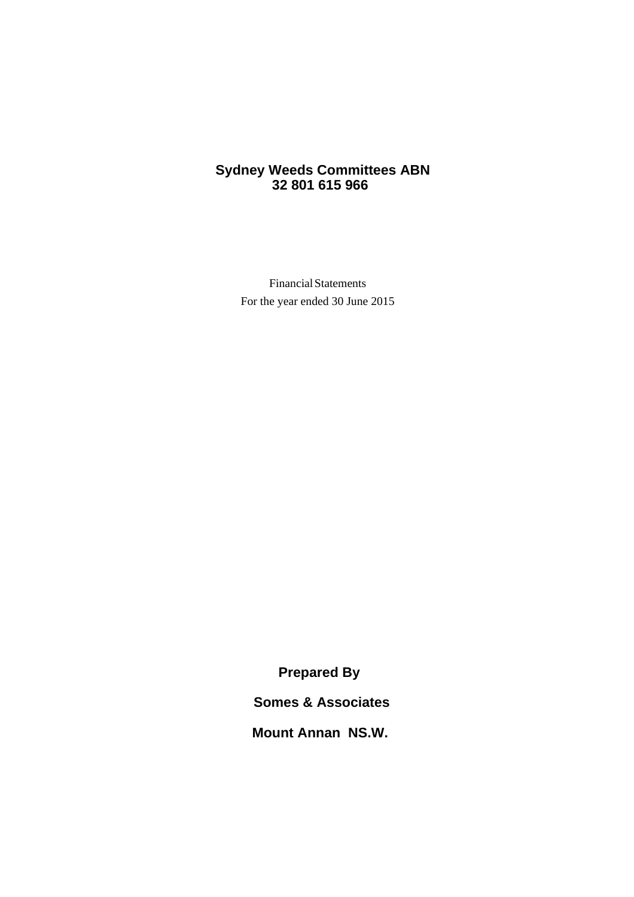# <span id="page-0-0"></span>**Sydney Weeds Committees ABN 32 801 615 966**

Financial Statements For the year ended 30 June 2015

**Prepared By**

**Somes & Associates**

**Mount Annan NS.W.**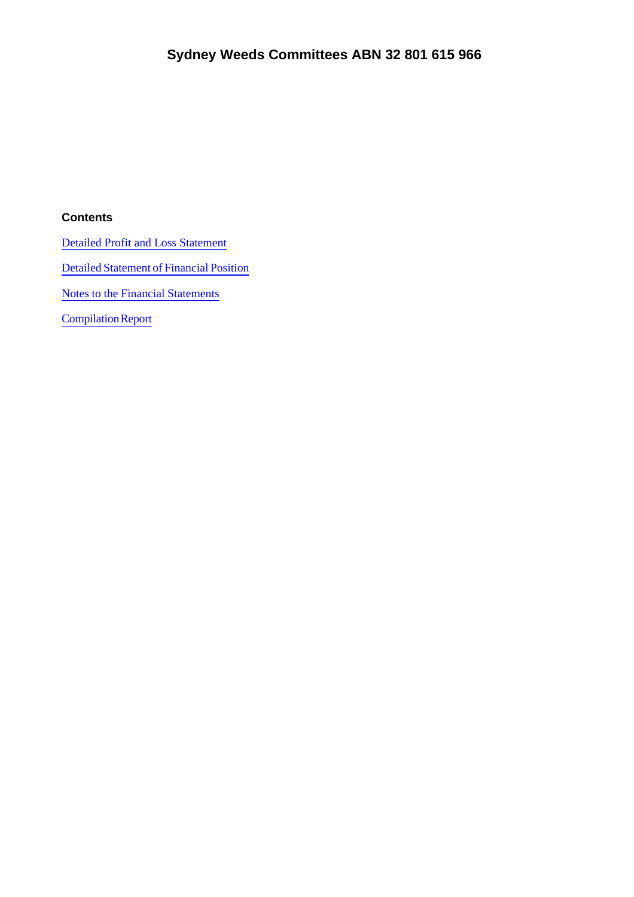### **Contents**

Detailed Profit and Loss Statement

[Detailed Statement of Financial Position](#page-3-0)

[Notes to the Financial Statements](#page-0-0)

Compilation Report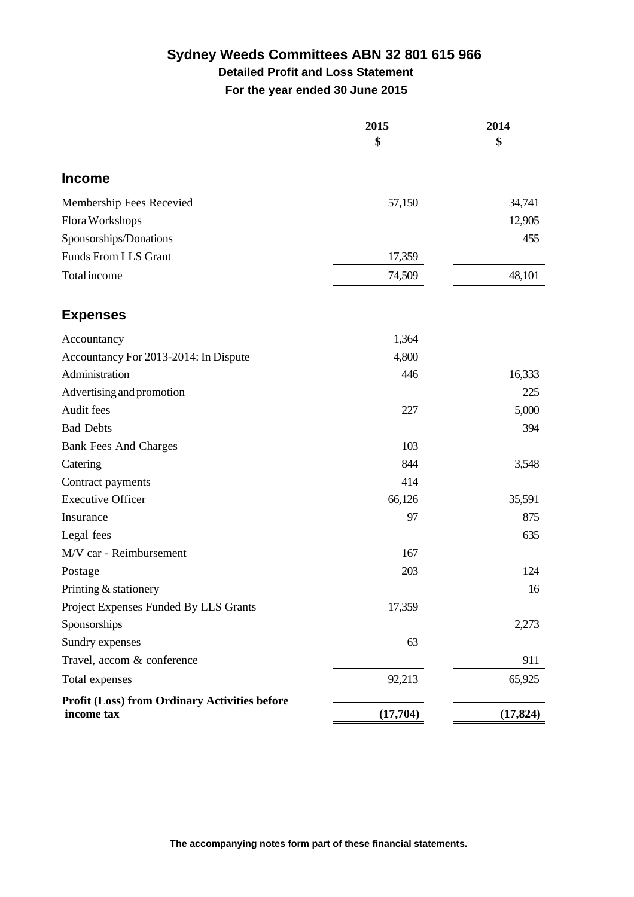# **Sydney Weeds Committees ABN 32 801 615 966 Detailed Profit and Loss Statement For the year ended 30 June 2015**

|                                                                    | 2015     | 2014      |
|--------------------------------------------------------------------|----------|-----------|
|                                                                    | \$       | \$        |
| <b>Income</b>                                                      |          |           |
| Membership Fees Recevied                                           | 57,150   | 34,741    |
| Flora Workshops                                                    |          | 12,905    |
| Sponsorships/Donations                                             |          | 455       |
| <b>Funds From LLS Grant</b>                                        | 17,359   |           |
| Total income                                                       | 74,509   | 48,101    |
| <b>Expenses</b>                                                    |          |           |
| Accountancy                                                        | 1,364    |           |
| Accountancy For 2013-2014: In Dispute                              | 4,800    |           |
| Administration                                                     | 446      | 16,333    |
| Advertising and promotion                                          |          | 225       |
| Audit fees                                                         | 227      | 5,000     |
| <b>Bad Debts</b>                                                   |          | 394       |
| <b>Bank Fees And Charges</b>                                       | 103      |           |
| Catering                                                           | 844      | 3,548     |
| Contract payments                                                  | 414      |           |
| <b>Executive Officer</b>                                           | 66,126   | 35,591    |
| Insurance                                                          | 97       | 875       |
| Legal fees                                                         |          | 635       |
| M/V car - Reimbursement                                            | 167      |           |
| Postage                                                            | 203      | 124       |
| Printing & stationery                                              |          | 16        |
| Project Expenses Funded By LLS Grants                              | 17,359   |           |
| Sponsorships                                                       |          | 2,273     |
| Sundry expenses                                                    | 63       |           |
| Travel, accom & conference                                         |          | 911       |
| Total expenses                                                     | 92,213   | 65,925    |
| <b>Profit (Loss) from Ordinary Activities before</b><br>income tax | (17,704) | (17, 824) |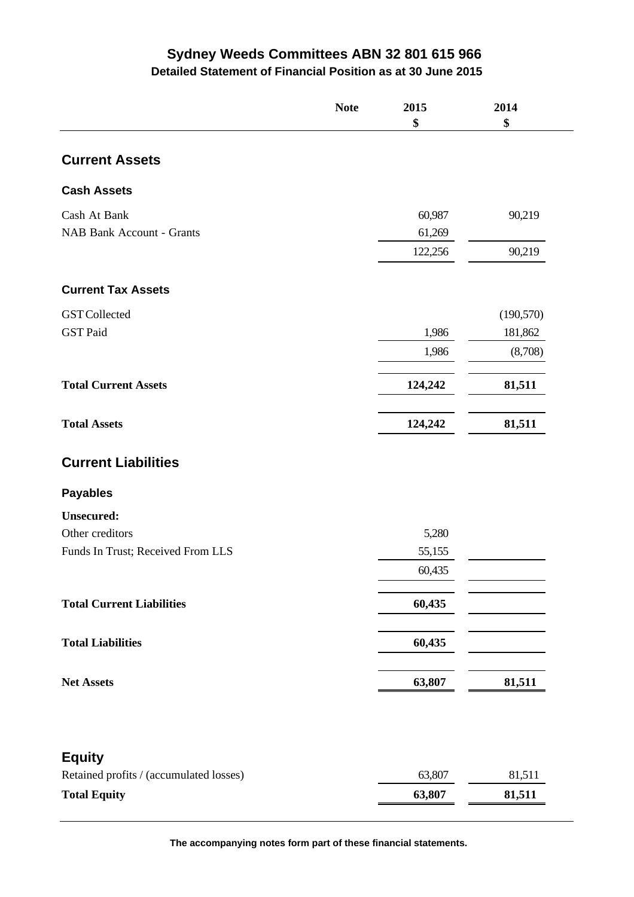# **Sydney Weeds Committees ABN 32 801 615 966**

**Detailed Statement of Financial Position as at 30 June 2015**

<span id="page-3-0"></span>

|                                         | <b>Note</b> | 2015<br>\$ | 2014<br>\$ |
|-----------------------------------------|-------------|------------|------------|
| <b>Current Assets</b>                   |             |            |            |
| <b>Cash Assets</b>                      |             |            |            |
| Cash At Bank                            |             | 60,987     | 90,219     |
| <b>NAB Bank Account - Grants</b>        |             | 61,269     |            |
|                                         |             | 122,256    | 90,219     |
| <b>Current Tax Assets</b>               |             |            |            |
| <b>GST</b> Collected                    |             |            | (190, 570) |
| <b>GST Paid</b>                         |             | 1,986      | 181,862    |
|                                         |             | 1,986      | (8,708)    |
| <b>Total Current Assets</b>             |             | 124,242    | 81,511     |
| <b>Total Assets</b>                     |             | 124,242    | 81,511     |
| <b>Current Liabilities</b>              |             |            |            |
| <b>Payables</b>                         |             |            |            |
| <b>Unsecured:</b>                       |             |            |            |
| Other creditors                         |             | 5,280      |            |
| Funds In Trust; Received From LLS       |             | 55,155     |            |
|                                         |             | 60,435     |            |
| <b>Total Current Liabilities</b>        |             | 60,435     |            |
| <b>Total Liabilities</b>                |             | 60,435     |            |
| <b>Net Assets</b>                       |             | 63,807     | 81,511     |
|                                         |             |            |            |
| <b>Equity</b>                           |             |            |            |
| Retained profits / (accumulated losses) |             | 63,807     | 81,511     |
| <b>Total Equity</b>                     |             | 63,807     | 81,511     |

**The accompanying notes form part of these financial statements.**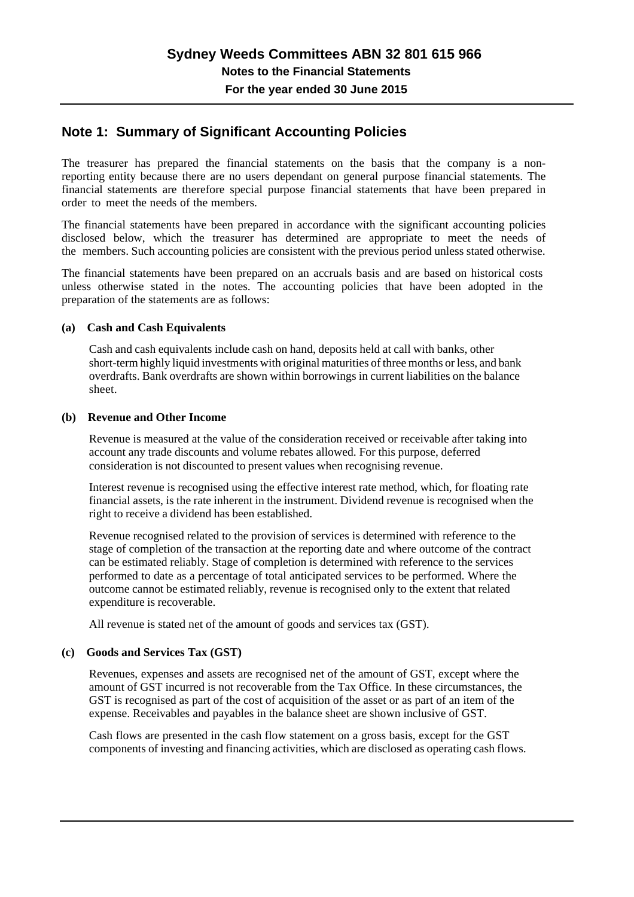# **Note 1: Summary of Significant Accounting Policies**

The treasurer has prepared the financial statements on the basis that the company is a nonreporting entity because there are no users dependant on general purpose financial statements. The financial statements are therefore special purpose financial statements that have been prepared in order to meet the needs of the members.

The financial statements have been prepared in accordance with the significant accounting policies disclosed below, which the treasurer has determined are appropriate to meet the needs of the members. Such accounting policies are consistent with the previous period unless stated otherwise.

The financial statements have been prepared on an accruals basis and are based on historical costs unless otherwise stated in the notes. The accounting policies that have been adopted in the preparation of the statements are as follows: The financial statements have been preparation of the statements are as follow<br>preparation of the statements are as follow<br>(a) Cash and Cash Equivalents<br>Cash and cash equivalents include ca

Cash and cash equivalents include cash on hand, deposits held at call with banks, other short-term highly liquid investments with original maturities of three months or less, and bank overdrafts. Bank overdrafts are shown within borrowings in current liabilities on the balance sheet. Cash and cash equivalents include case<br>
short-term highly liquid investments v<br>
overdrafts. Bank overdrafts are shown<br>
sheet.<br> **(b)** Revenue and Other Income<br>
Revenue is measured at the value of t

Revenue is measured at the value of the consideration received or receivable after taking into account any trade discounts and volume rebates allowed. For this purpose, deferred consideration is not discounted to present values when recognising revenue.

Interest revenue is recognised using the effective interest rate method, which, for floating rate financial assets, is the rate inherent in the instrument. Dividend revenue is recognised when the right to receive a dividend has been established.

Revenue recognised related to the provision of services is determined with reference to the stage of completion of the transaction at the reporting date and where outcome of the contract can be estimated reliably. Stage of completion is determined with reference to the services performed to date as a percentage of total anticipated services to be performed. Where the outcome cannot be estimated reliably, revenue is recognised only to the extent that related expenditure is recoverable.

All revenue is stated net of the amount of goods and services tax (GST).

### **(c) Goods and Services Tax (GST)**

Revenues, expenses and assets are recognised net of the amount of GST, except where the amount of GST incurred is not recoverable from the Tax Office. In these circumstances, the GST is recognised as part of the cost of acquisition of the asset or as part of an item of the expense. Receivables and payables in the balance sheet are shown inclusive of GST.

Cash flows are presented in the cash flow statement on a gross basis, except for the GST components of investing and financing activities, which are disclosed as operating cash flows.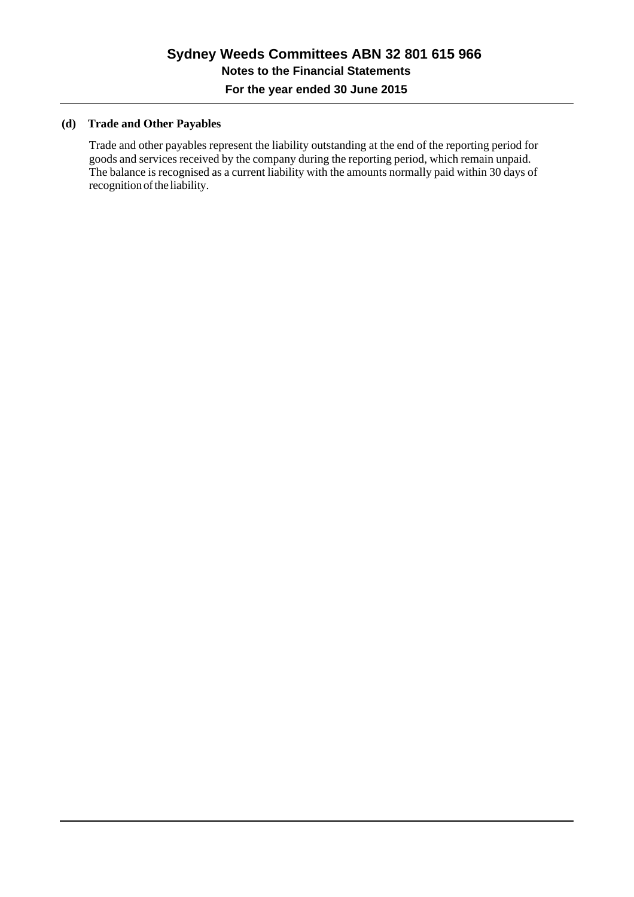## **(d) Trade and Other Payables**

Trade and other payables represent the liability outstanding at the end of the reporting period for goods and services received by the company during the reporting period, which remain unpaid. The balance is recognised as a current liability with the amounts normally paid within 30 days of recognition of the liability.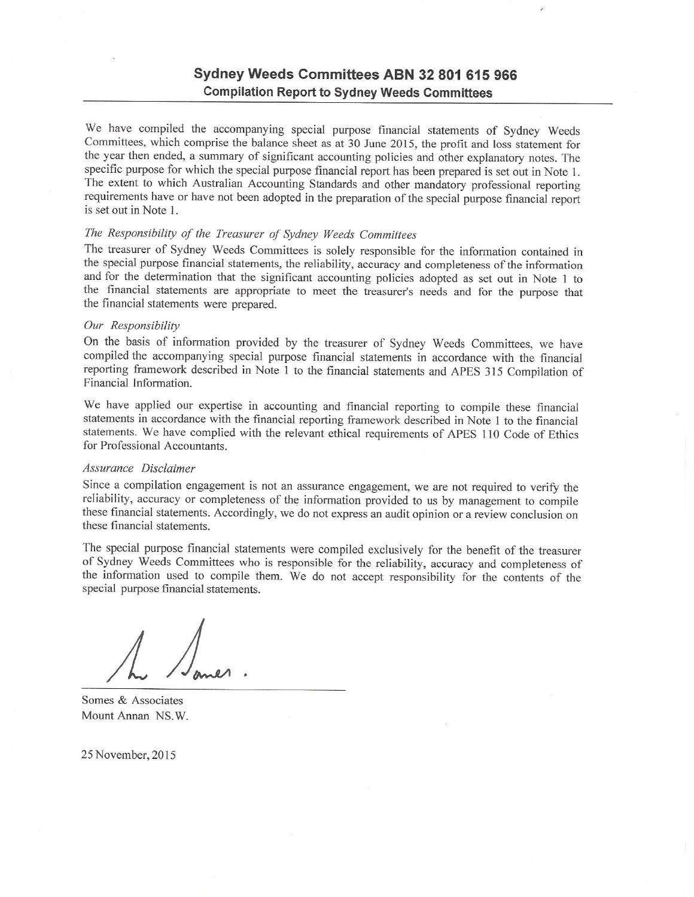# Sydney Weeds Committees ABN 32 801 615 966 **Compilation Report to Sydney Weeds Committees**

We have compiled the accompanying special purpose financial statements of Sydney Weeds Committees, which comprise the balance sheet as at 30 June 2015, the profit and loss statement for the year then ended, a summary of significant accounting policies and other explanatory notes. The specific purpose for which the special purpose financial report has been prepared is set out in Note 1. The extent to which Australian Accounting Standards and other mandatory professional reporting requirements have or have not been adopted in the preparation of the special purpose financial report is set out in Note 1.

#### The Responsibility of the Treasurer of Sydney Weeds Committees

The treasurer of Sydney Weeds Committees is solely responsible for the information contained in the special purpose financial statements, the reliability, accuracy and completeness of the information and for the determination that the significant accounting policies adopted as set out in Note 1 to the financial statements are appropriate to meet the treasurer's needs and for the purpose that the financial statements were prepared.

#### Our Responsibility

On the basis of information provided by the treasurer of Sydney Weeds Committees, we have compiled the accompanying special purpose financial statements in accordance with the financial reporting framework described in Note 1 to the financial statements and APES 315 Compilation of Financial Information.

We have applied our expertise in accounting and financial reporting to compile these financial statements in accordance with the financial reporting framework described in Note 1 to the financial statements. We have complied with the relevant ethical requirements of APES 110 Code of Ethics for Professional Accountants.

#### Assurance Disclaimer

Since a compilation engagement is not an assurance engagement, we are not required to verify the reliability, accuracy or completeness of the information provided to us by management to compile these financial statements. Accordingly, we do not express an audit opinion or a review conclusion on these financial statements.

The special purpose financial statements were compiled exclusively for the benefit of the treasurer of Sydney Weeds Committees who is responsible for the reliability, accuracy and completeness of the information used to compile them. We do not accept responsibility for the contents of the special purpose financial statements.

Somes & Associates Mount Annan NS.W.

25 November, 2015